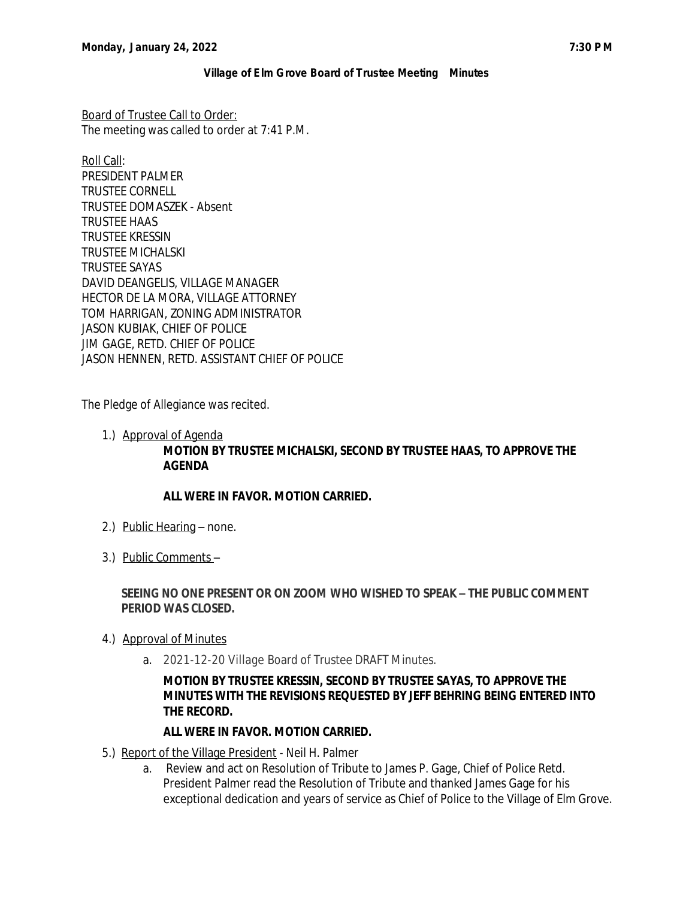Board of Trustee Call to Order: The meeting was called to order at 7:41 P.M.

Roll Call: PRESIDENT PALMER TRUSTEE CORNELL TRUSTEE DOMASZEK - Absent TRUSTEE HAAS TRUSTEE KRESSIN TRUSTEE MICHALSKI TRUSTEE SAYAS DAVID DEANGELIS, VILLAGE MANAGER HECTOR DE LA MORA, VILLAGE ATTORNEY TOM HARRIGAN, ZONING ADMINISTRATOR JASON KUBIAK, CHIEF OF POLICE JIM GAGE, RETD. CHIEF OF POLICE JASON HENNEN, RETD. ASSISTANT CHIEF OF POLICE

The Pledge of Allegiance was recited.

1.) Approval of Agenda

## **MOTION BY TRUSTEE MICHALSKI, SECOND BY TRUSTEE HAAS, TO APPROVE THE AGENDA**

# **ALL WERE IN FAVOR. MOTION CARRIED.**

- 2.) Public Hearing none.
- 3.) Public Comments –

## **SEEING NO ONE PRESENT OR ON ZOOM WHO WISHED TO SPEAK – THE PUBLIC COMMENT PERIOD WAS CLOSED.**

- 4.) Approval of Minutes
	- a. 2021-12-20 Village Board of Trustee DRAFT Minutes.

## **MOTION BY TRUSTEE KRESSIN, SECOND BY TRUSTEE SAYAS, TO APPROVE THE MINUTES WITH THE REVISIONS REQUESTED BY JEFF BEHRING BEING ENTERED INTO THE RECORD.**

### **ALL WERE IN FAVOR. MOTION CARRIED.**

- 5.) Report of the Village President Neil H. Palmer
	- a. Review and act on Resolution of Tribute to James P. Gage, Chief of Police Retd. President Palmer read the Resolution of Tribute and thanked James Gage for his exceptional dedication and years of service as Chief of Police to the Village of Elm Grove.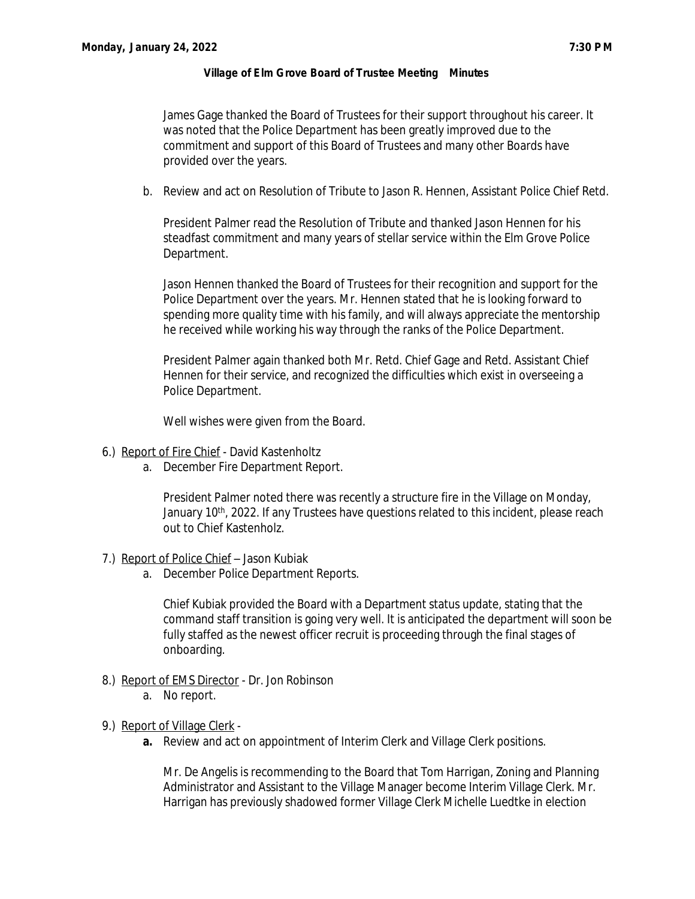James Gage thanked the Board of Trustees for their support throughout his career. It was noted that the Police Department has been greatly improved due to the commitment and support of this Board of Trustees and many other Boards have provided over the years.

b. Review and act on Resolution of Tribute to Jason R. Hennen, Assistant Police Chief Retd.

President Palmer read the Resolution of Tribute and thanked Jason Hennen for his steadfast commitment and many years of stellar service within the Elm Grove Police Department.

Jason Hennen thanked the Board of Trustees for their recognition and support for the Police Department over the years. Mr. Hennen stated that he is looking forward to spending more quality time with his family, and will always appreciate the mentorship he received while working his way through the ranks of the Police Department.

President Palmer again thanked both Mr. Retd. Chief Gage and Retd. Assistant Chief Hennen for their service, and recognized the difficulties which exist in overseeing a Police Department.

Well wishes were given from the Board.

- 6.) Report of Fire Chief David Kastenholtz
	- a. December Fire Department Report.

President Palmer noted there was recently a structure fire in the Village on Monday, January 10<sup>th</sup>, 2022. If any Trustees have questions related to this incident, please reach out to Chief Kastenholz.

- 7.) Report of Police Chief Jason Kubiak
	- a. December Police Department Reports.

Chief Kubiak provided the Board with a Department status update, stating that the command staff transition is going very well. It is anticipated the department will soon be fully staffed as the newest officer recruit is proceeding through the final stages of onboarding.

- 8.) Report of EMS Director Dr. Jon Robinson
	- a. No report.
- 9.) Report of Village Clerk
	- **a.** Review and act on appointment of Interim Clerk and Village Clerk positions.

Mr. De Angelis is recommending to the Board that Tom Harrigan, Zoning and Planning Administrator and Assistant to the Village Manager become Interim Village Clerk. Mr. Harrigan has previously shadowed former Village Clerk Michelle Luedtke in election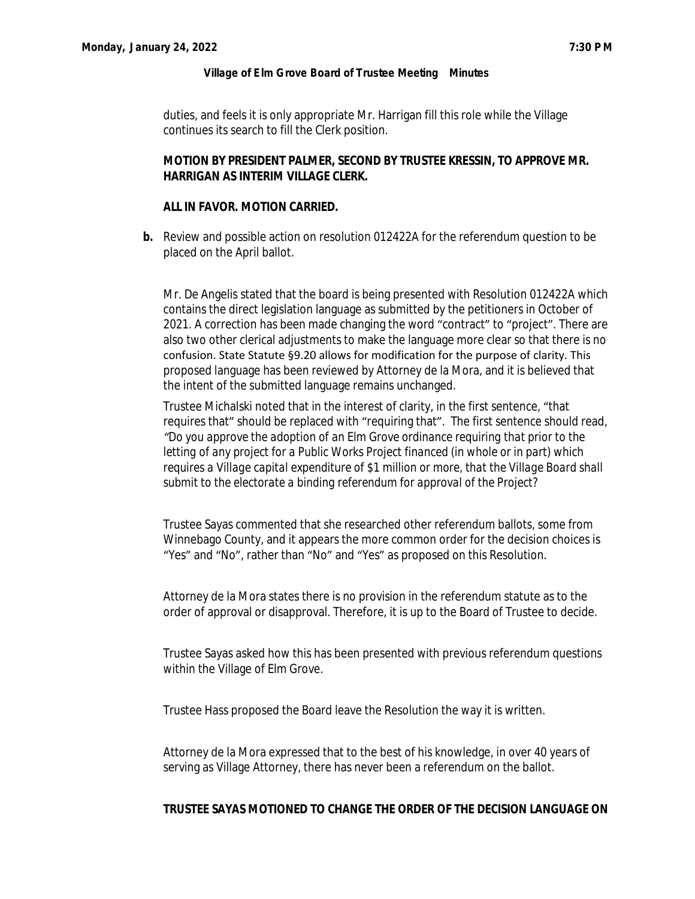duties, and feels it is only appropriate Mr. Harrigan fill this role while the Village continues its search to fill the Clerk position.

### **MOTION BY PRESIDENT PALMER, SECOND BY TRUSTEE KRESSIN, TO APPROVE MR. HARRIGAN AS INTERIM VILLAGE CLERK.**

## **ALL IN FAVOR. MOTION CARRIED.**

**b.** Review and possible action on resolution 012422A for the referendum question to be placed on the April ballot.

Mr. De Angelis stated that the board is being presented with Resolution 012422A which contains the direct legislation language as submitted by the petitioners in October of 2021. A correction has been made changing the word "contract" to "project". There are also two other clerical adjustments to make the language more clear so that there is no confusion. State Statute §9.20 allows for modification for the purpose of clarity. This proposed language has been reviewed by Attorney de la Mora, and it is believed that the intent of the submitted language remains unchanged.

Trustee Michalski noted that in the interest of clarity, in the first sentence, "that requires that" should be replaced with "requiring that". The first sentence should read, *"Do you approve the adoption of an Elm Grove ordinance requiring that prior to the letting of any project for a Public Works Project financed (in whole or in part) which requires a Village capital expenditure of \$1 million or more, that the Village Board shall submit to the electorate a binding referendum for approval of the Project?*

Trustee Sayas commented that she researched other referendum ballots, some from Winnebago County, and it appears the more common order for the decision choices is "Yes" and "No", rather than "No" and "Yes" as proposed on this Resolution.

Attorney de la Mora states there is no provision in the referendum statute as to the order of approval or disapproval. Therefore, it is up to the Board of Trustee to decide.

Trustee Sayas asked how this has been presented with previous referendum questions within the Village of Elm Grove.

Trustee Hass proposed the Board leave the Resolution the way it is written.

Attorney de la Mora expressed that to the best of his knowledge, in over 40 years of serving as Village Attorney, there has never been a referendum on the ballot.

#### **TRUSTEE SAYAS MOTIONED TO CHANGE THE ORDER OF THE DECISION LANGUAGE ON**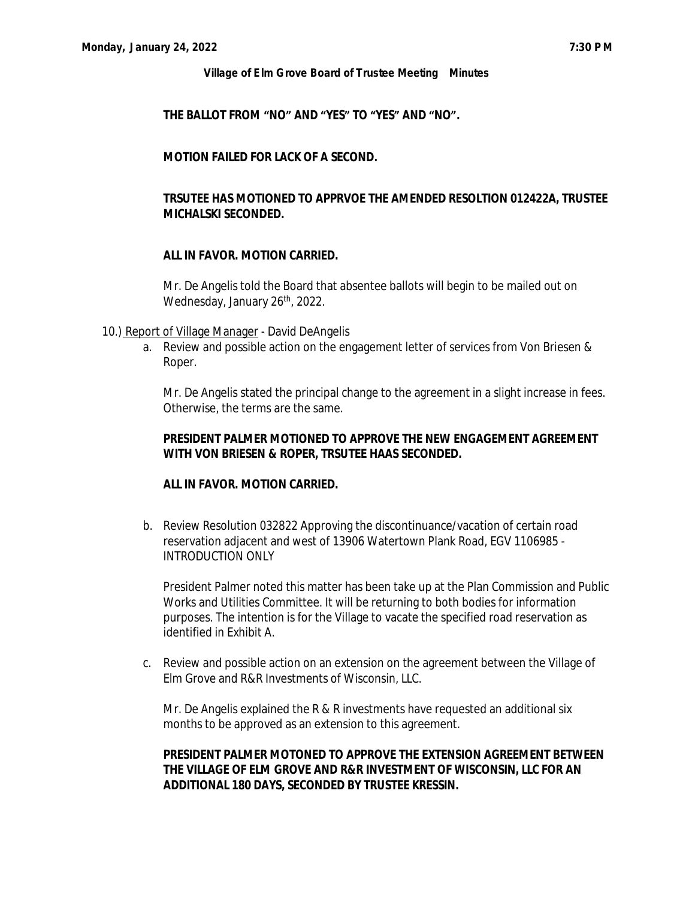#### **THE BALLOT FROM "NO" AND "YES" TO "YES" AND "NO".**

### **MOTION FAILED FOR LACK OF A SECOND.**

### **TRSUTEE HAS MOTIONED TO APPRVOE THE AMENDED RESOLTION 012422A, TRUSTEE MICHALSKI SECONDED.**

#### **ALL IN FAVOR. MOTION CARRIED.**

Mr. De Angelis told the Board that absentee ballots will begin to be mailed out on Wednesday, January 26<sup>th</sup>, 2022.

#### 10.) Report of Village Manager - David DeAngelis

a. Review and possible action on the engagement letter of services from Von Briesen & Roper.

Mr. De Angelis stated the principal change to the agreement in a slight increase in fees. Otherwise, the terms are the same.

### **PRESIDENT PALMER MOTIONED TO APPROVE THE NEW ENGAGEMENT AGREEMENT WITH VON BRIESEN & ROPER, TRSUTEE HAAS SECONDED.**

#### **ALL IN FAVOR. MOTION CARRIED.**

b. Review Resolution 032822 Approving the discontinuance/vacation of certain road reservation adjacent and west of 13906 Watertown Plank Road, EGV 1106985 - INTRODUCTION ONLY

President Palmer noted this matter has been take up at the Plan Commission and Public Works and Utilities Committee. It will be returning to both bodies for information purposes. The intention is for the Village to vacate the specified road reservation as identified in Exhibit A.

c. Review and possible action on an extension on the agreement between the Village of Elm Grove and R&R Investments of Wisconsin, LLC.

Mr. De Angelis explained the R & R investments have requested an additional six months to be approved as an extension to this agreement.

### **PRESIDENT PALMER MOTONED TO APPROVE THE EXTENSION AGREEMENT BETWEEN THE VILLAGE OF ELM GROVE AND R&R INVESTMENT OF WISCONSIN, LLC FOR AN ADDITIONAL 180 DAYS, SECONDED BY TRUSTEE KRESSIN.**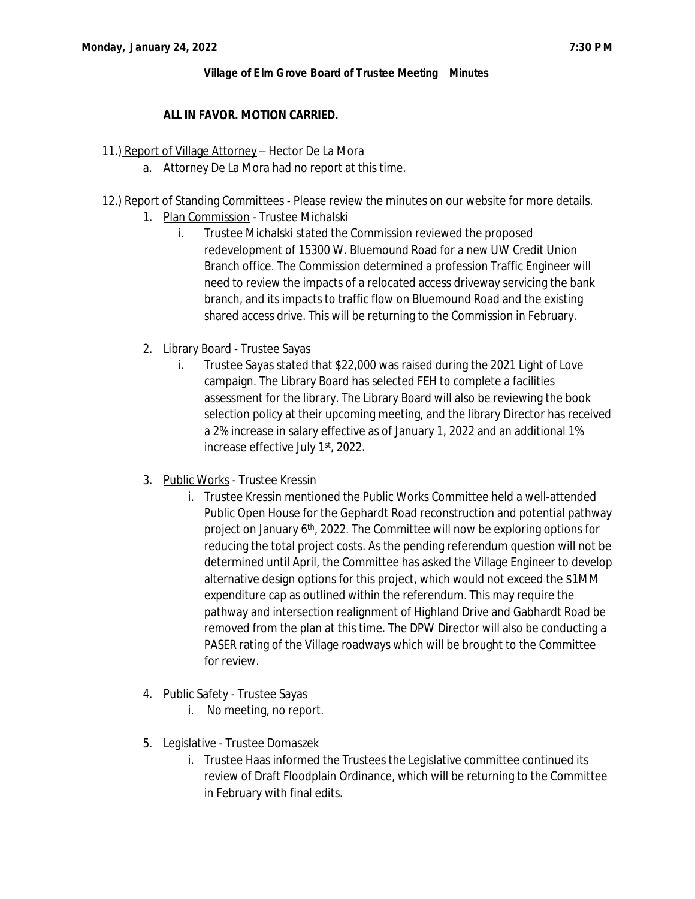## **ALL IN FAVOR. MOTION CARRIED.**

### 11.) Report of Village Attorney - Hector De La Mora

- a. Attorney De La Mora had no report at this time.
- 12.) Report of Standing Committees Please review the minutes on our website for more details.
	- 1. Plan Commission Trustee Michalski
		- i. Trustee Michalski stated the Commission reviewed the proposed redevelopment of 15300 W. Bluemound Road for a new UW Credit Union Branch office. The Commission determined a profession Traffic Engineer will need to review the impacts of a relocated access driveway servicing the bank branch, and its impacts to traffic flow on Bluemound Road and the existing shared access drive. This will be returning to the Commission in February.
	- 2. Library Board Trustee Sayas
		- i. Trustee Sayas stated that \$22,000 was raised during the 2021 Light of Love campaign. The Library Board has selected FEH to complete a facilities assessment for the library. The Library Board will also be reviewing the book selection policy at their upcoming meeting, and the library Director has received a 2% increase in salary effective as of January 1, 2022 and an additional 1% increase effective July 1st, 2022.
	- 3. Public Works Trustee Kressin
		- i. Trustee Kressin mentioned the Public Works Committee held a well-attended Public Open House for the Gephardt Road reconstruction and potential pathway project on January 6th, 2022. The Committee will now be exploring options for reducing the total project costs. As the pending referendum question will not be determined until April, the Committee has asked the Village Engineer to develop alternative design options for this project, which would not exceed the \$1MM expenditure cap as outlined within the referendum. This may require the pathway and intersection realignment of Highland Drive and Gabhardt Road be removed from the plan at this time. The DPW Director will also be conducting a PASER rating of the Village roadways which will be brought to the Committee for review.
	- 4. Public Safety Trustee Sayas
		- i. No meeting, no report.
	- 5. Legislative Trustee Domaszek
		- i. Trustee Haas informed the Trustees the Legislative committee continued its review of Draft Floodplain Ordinance, which will be returning to the Committee in February with final edits.